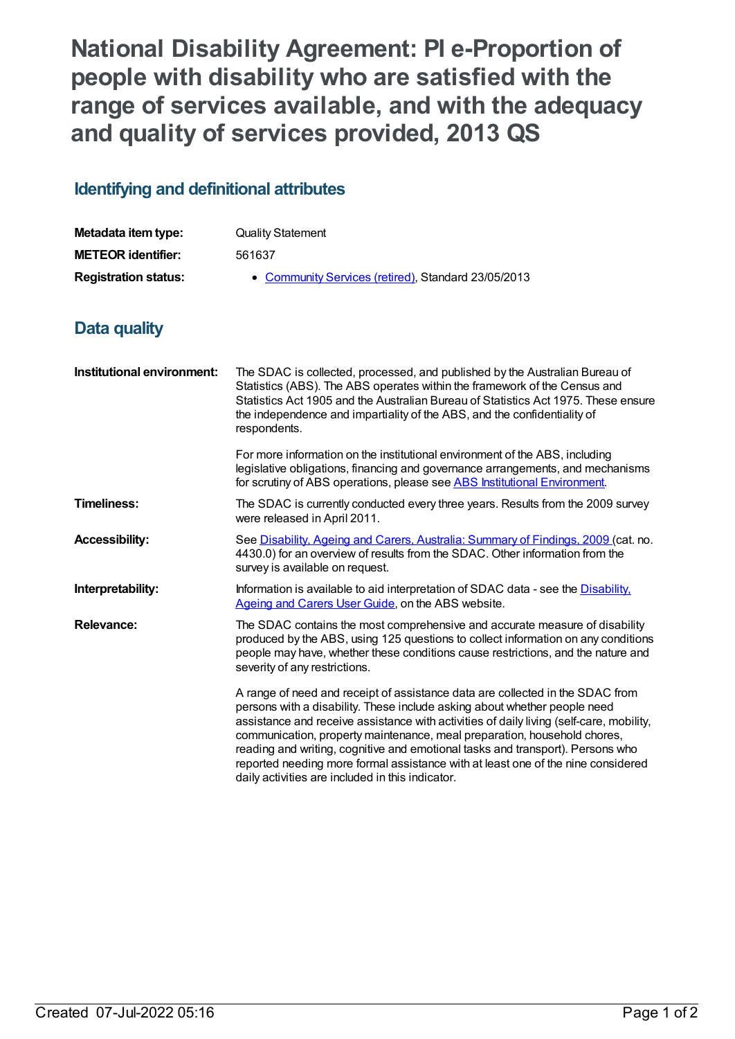**National Disability Agreement: PI e-Proportion of people with disability who are satisfied with the range of services available, and with the adequacy and quality of services provided, 2013 QS**

## **Identifying and definitional attributes**

| Metadata item type:         | <b>Quality Statement</b>                            |
|-----------------------------|-----------------------------------------------------|
| <b>METEOR identifier:</b>   | 561637                                              |
| <b>Registration status:</b> | • Community Services (retired), Standard 23/05/2013 |

## **Data quality**

| Institutional environment: | The SDAC is collected, processed, and published by the Australian Bureau of<br>Statistics (ABS). The ABS operates within the framework of the Census and<br>Statistics Act 1905 and the Australian Bureau of Statistics Act 1975. These ensure<br>the independence and impartiality of the ABS, and the confidentiality of<br>respondents.                                                                                                                                                                                                                  |
|----------------------------|-------------------------------------------------------------------------------------------------------------------------------------------------------------------------------------------------------------------------------------------------------------------------------------------------------------------------------------------------------------------------------------------------------------------------------------------------------------------------------------------------------------------------------------------------------------|
|                            | For more information on the institutional environment of the ABS, including<br>legislative obligations, financing and governance arrangements, and mechanisms<br>for scrutiny of ABS operations, please see ABS Institutional Environment.                                                                                                                                                                                                                                                                                                                  |
| <b>Timeliness:</b>         | The SDAC is currently conducted every three years. Results from the 2009 survey<br>were released in April 2011.                                                                                                                                                                                                                                                                                                                                                                                                                                             |
| <b>Accessibility:</b>      | See Disability, Ageing and Carers, Australia: Summary of Findings, 2009 (cat. no.<br>4430.0) for an overview of results from the SDAC. Other information from the<br>survey is available on request.                                                                                                                                                                                                                                                                                                                                                        |
| Interpretability:          | Information is available to aid interpretation of SDAC data - see the Disability.<br>Ageing and Carers User Guide, on the ABS website.                                                                                                                                                                                                                                                                                                                                                                                                                      |
| Relevance:                 | The SDAC contains the most comprehensive and accurate measure of disability<br>produced by the ABS, using 125 questions to collect information on any conditions<br>people may have, whether these conditions cause restrictions, and the nature and<br>severity of any restrictions.                                                                                                                                                                                                                                                                       |
|                            | A range of need and receipt of assistance data are collected in the SDAC from<br>persons with a disability. These include asking about whether people need<br>assistance and receive assistance with activities of daily living (self-care, mobility,<br>communication, property maintenance, meal preparation, household chores,<br>reading and writing, cognitive and emotional tasks and transport). Persons who<br>reported needing more formal assistance with at least one of the nine considered<br>daily activities are included in this indicator. |